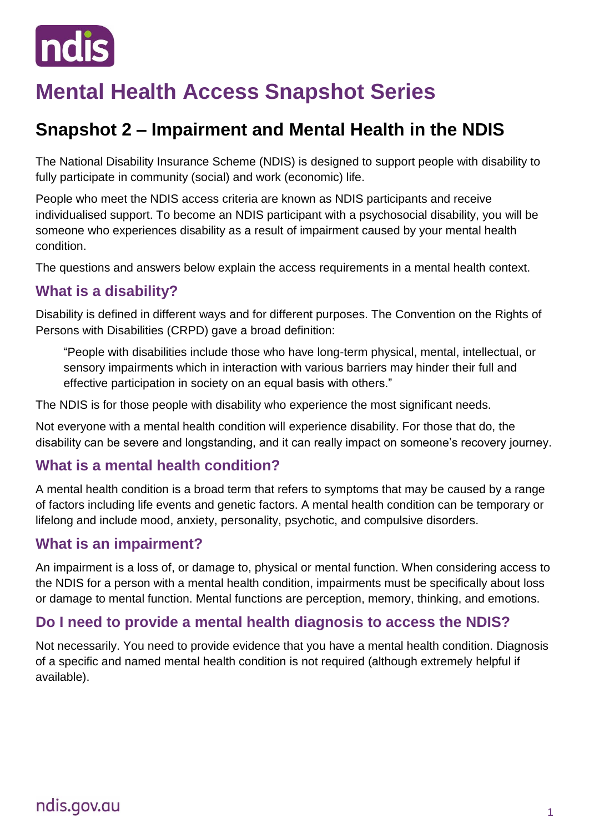

# **Mental Health Access Snapshot Series**

# **Snapshot 2 – Impairment and Mental Health in the NDIS**

The National Disability Insurance Scheme (NDIS) is designed to support people with disability to fully participate in community (social) and work (economic) life.

People who meet the NDIS access criteria are known as NDIS participants and receive individualised support. To become an NDIS participant with a psychosocial disability, you will be someone who experiences disability as a result of impairment caused by your mental health condition.

The questions and answers below explain the access requirements in a mental health context.

## **What is a disability?**

Disability is defined in different ways and for different purposes. The Convention on the Rights of Persons with Disabilities (CRPD) gave a broad definition:

"People with disabilities include those who have long-term physical, mental, intellectual, or sensory impairments which in interaction with various barriers may hinder their full and effective participation in society on an equal basis with others."

The NDIS is for those people with disability who experience the most significant needs.

Not everyone with a mental health condition will experience disability. For those that do, the disability can be severe and longstanding, and it can really impact on someone's recovery journey.

#### **What is a mental health condition?**

A mental health condition is a broad term that refers to symptoms that may be caused by a range of factors including life events and genetic factors. A mental health condition can be temporary or lifelong and include mood, anxiety, personality, psychotic, and compulsive disorders.

#### **What is an impairment?**

An impairment is a loss of, or damage to, physical or mental function. When considering access to the NDIS for a person with a mental health condition, impairments must be specifically about loss or damage to mental function. Mental functions are perception, memory, thinking, and emotions.

## **Do I need to provide a mental health diagnosis to access the NDIS?**

Not necessarily. You need to provide evidence that you have a mental health condition. Diagnosis of a specific and named mental health condition is not required (although extremely helpful if available).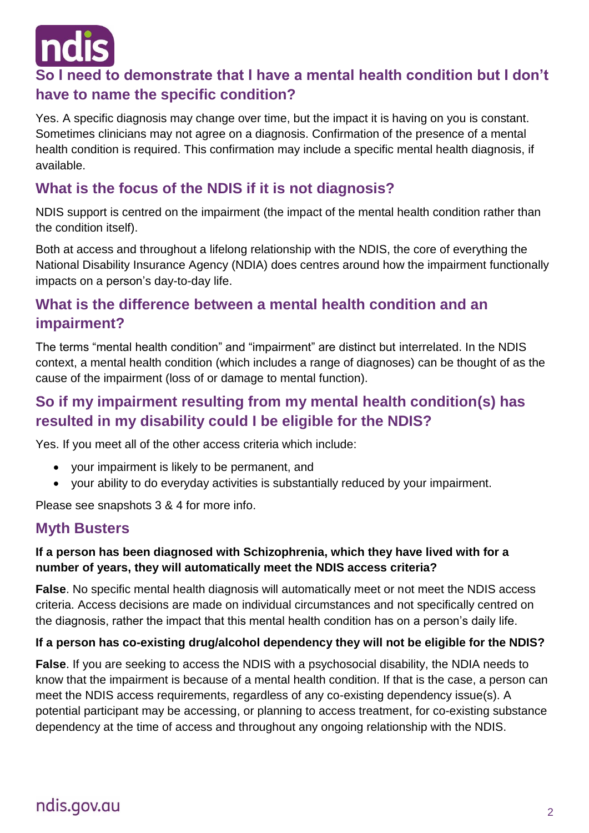

## **So I need to demonstrate that I have a mental health condition but I don't have to name the specific condition?**

Yes. A specific diagnosis may change over time, but the impact it is having on you is constant. Sometimes clinicians may not agree on a diagnosis. Confirmation of the presence of a mental health condition is required. This confirmation may include a specific mental health diagnosis, if available.

## **What is the focus of the NDIS if it is not diagnosis?**

NDIS support is centred on the impairment (the impact of the mental health condition rather than the condition itself).

Both at access and throughout a lifelong relationship with the NDIS, the core of everything the National Disability Insurance Agency (NDIA) does centres around how the impairment functionally impacts on a person's day-to-day life.

## **What is the difference between a mental health condition and an impairment?**

The terms "mental health condition" and "impairment" are distinct but interrelated. In the NDIS context, a mental health condition (which includes a range of diagnoses) can be thought of as the cause of the impairment (loss of or damage to mental function).

## **So if my impairment resulting from my mental health condition(s) has resulted in my disability could I be eligible for the NDIS?**

Yes. If you meet all of the other access criteria which include:

- your impairment is likely to be permanent, and
- your ability to do everyday activities is substantially reduced by your impairment.

Please see snapshots 3 & 4 for more info.

#### **Myth Busters**

#### **If a person has been diagnosed with Schizophrenia, which they have lived with for a number of years, they will automatically meet the NDIS access criteria?**

**False**. No specific mental health diagnosis will automatically meet or not meet the NDIS access criteria. Access decisions are made on individual circumstances and not specifically centred on the diagnosis, rather the impact that this mental health condition has on a person's daily life.

#### **If a person has co-existing drug/alcohol dependency they will not be eligible for the NDIS?**

**False**. If you are seeking to access the NDIS with a psychosocial disability, the NDIA needs to know that the impairment is because of a mental health condition. If that is the case, a person can meet the NDIS access requirements, regardless of any co-existing dependency issue(s). A potential participant may be accessing, or planning to access treatment, for co-existing substance dependency at the time of access and throughout any ongoing relationship with the NDIS.

# ndis.gov.au